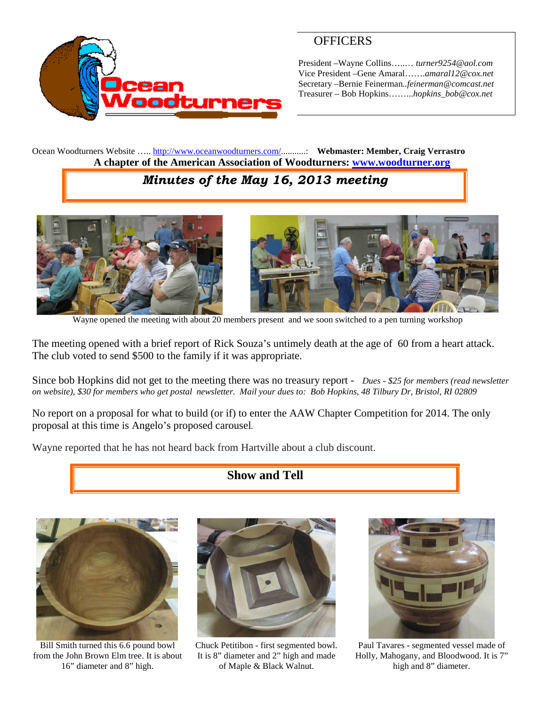

## **OFFICERS**

President –Wayne Collins…..… *turner9254@aol.com* Vice President –Gene Amaral…….*amaral12@cox.net* Secretary –Bernie Feinerman*..feinerman@comcast.net* Treasurer – Bob Hopkins……...*hopkins\_bob@cox.net*

Ocean Woodturners Website ….. <http://www.oceanwoodturners.com/>...........: **Webmaster: Member, Craig Verrastro A chapter of the American Association of Woodturners: [www.woodturner.org](http://www.woodturner.org/)**

# *Minutes of the May 16, 2013 meeting*



Wayne opened the meeting with about 20 members present and we soon switched to a pen turning workshop

The meeting opened with a brief report of Rick Souza's untimely death at the age of 60 from a heart attack. The club voted to send \$500 to the family if it was appropriate.

Since bob Hopkins did not get to the meeting there was no treasury report - *Dues - \$25 for members (read newsletter on website), \$30 for members who get postal newsletter. Mail your dues to: Bob Hopkins, 48 Tilbury Dr, Bristol, RI 02809*

No report on a proposal for what to build (or if) to enter the AAW Chapter Competition for 2014. The only proposal at this time is Angelo's proposed carousel*.*

Wayne reported that he has not heard back from Hartville about a club discount.

## **Show and Tell**



Bill Smith turned this 6.6 pound bowl from the John Brown Elm tree. It is about 16" diameter and 8" high.



Chuck Petitibon - first segmented bowl. It is 8" diameter and 2" high and made of Maple & Black Walnut.



Paul Tavares - segmented vessel made of Holly, Mahogany, and Bloodwood. It is 7" high and 8" diameter.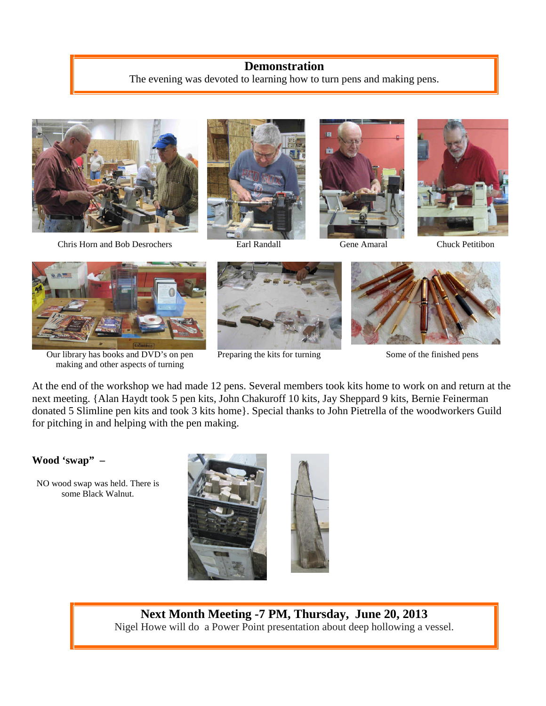## **Demonstration**

The evening was devoted to learning how to turn pens and making pens.



Chris Horn and Bob Desrochers Earl Randall Gene Amaral Chuck Petitibon









Our library has books and DVD's on pen making and other aspects of turning



Preparing the kits for turning Some of the finished pens



At the end of the workshop we had made 12 pens. Several members took kits home to work on and return at the next meeting. {Alan Haydt took 5 pen kits, John Chakuroff 10 kits, Jay Sheppard 9 kits, Bernie Feinerman donated 5 Slimline pen kits and took 3 kits home}. Special thanks to John Pietrella of the woodworkers Guild for pitching in and helping with the pen making.

#### **Wood 'swap" –**

NO wood swap was held. There is some Black Walnut.



**Next Month Meeting -7 PM, Thursday, June 20, 2013** Nigel Howe will do a Power Point presentation about deep hollowing a vessel.